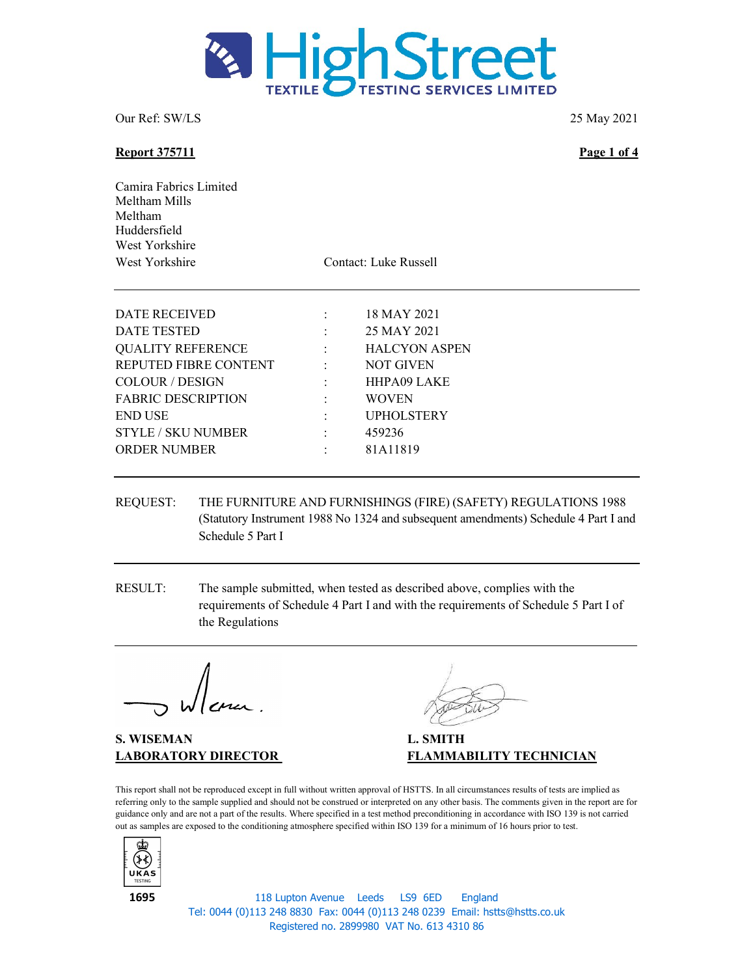

### Report 375711 Page 1 of 4

Camira Fabrics Limited Meltham Mills Meltham Huddersfield West Yorkshire West Yorkshire Contact: Luke Russell

| DATE RECEIVED             |                          | 18 MAY 2021          |
|---------------------------|--------------------------|----------------------|
| DATE TESTED               |                          | 25 MAY 2021          |
| <b>QUALITY REFERENCE</b>  | <b>Contract Contract</b> | <b>HALCYON ASPEN</b> |
| REPUTED FIBRE CONTENT     | <b>Contractor</b>        | <b>NOT GIVEN</b>     |
| <b>COLOUR / DESIGN</b>    |                          | <b>HHPA09 LAKE</b>   |
| <b>FABRIC DESCRIPTION</b> | $\ddot{\phantom{a}}$     | <b>WOVEN</b>         |
| <b>END USE</b>            |                          | <b>UPHOLSTERY</b>    |
| <b>STYLE / SKU NUMBER</b> | 2.50                     | 459236               |
| <b>ORDER NUMBER</b>       |                          | 81A11819             |
|                           |                          |                      |

- REQUEST: THE FURNITURE AND FURNISHINGS (FIRE) (SAFETY) REGULATIONS 1988 (Statutory Instrument 1988 No 1324 and subsequent amendments) Schedule 4 Part I and Schedule 5 Part I
- RESULT: The sample submitted, when tested as described above, complies with the requirements of Schedule 4 Part I and with the requirements of Schedule 5 Part I of the Regulations

S. WISEMAN L. SMITH

LABORATORY DIRECTOR FLAMMABILITY TECHNICIAN

This report shall not be reproduced except in full without written approval of HSTTS. In all circumstances results of tests are implied as referring only to the sample supplied and should not be construed or interpreted on any other basis. The comments given in the report are for guidance only and are not a part of the results. Where specified in a test method preconditioning in accordance with ISO 139 is not carried out as samples are exposed to the conditioning atmosphere specified within ISO 139 for a minimum of 16 hours prior to test.



118 Lupton Avenue Leeds LS9 6ED England Tel: 0044 (0)113 248 8830 Fax: 0044 (0)113 248 0239 Email: hstts@hstts.co.uk Registered no. 2899980 VAT No. 613 4310 86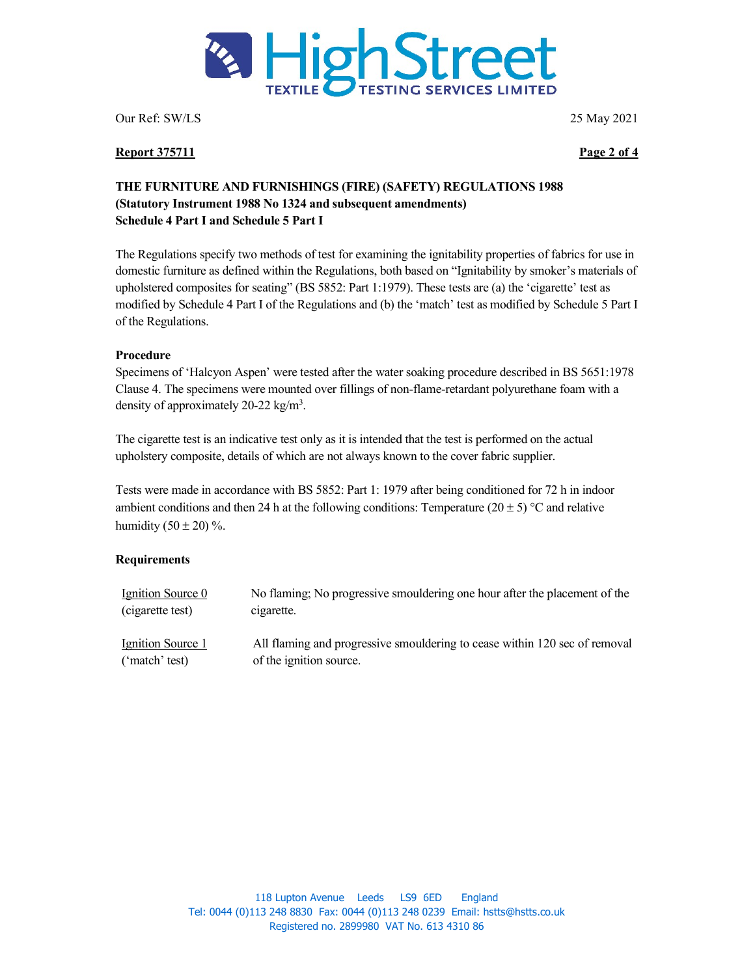

Report 375711 Page 2 of 4

# THE FURNITURE AND FURNISHINGS (FIRE) (SAFETY) REGULATIONS 1988 (Statutory Instrument 1988 No 1324 and subsequent amendments) Schedule 4 Part I and Schedule 5 Part I

The Regulations specify two methods of test for examining the ignitability properties of fabrics for use in domestic furniture as defined within the Regulations, both based on "Ignitability by smoker's materials of upholstered composites for seating" (BS 5852: Part 1:1979). These tests are (a) the 'cigarette' test as modified by Schedule 4 Part I of the Regulations and (b) the 'match' test as modified by Schedule 5 Part I of the Regulations.

## Procedure

Specimens of 'Halcyon Aspen' were tested after the water soaking procedure described in BS 5651:1978 Clause 4. The specimens were mounted over fillings of non-flame-retardant polyurethane foam with a density of approximately 20-22  $\text{kg/m}^3$ .

The cigarette test is an indicative test only as it is intended that the test is performed on the actual upholstery composite, details of which are not always known to the cover fabric supplier.

Tests were made in accordance with BS 5852: Part 1: 1979 after being conditioned for 72 h in indoor ambient conditions and then 24 h at the following conditions: Temperature (20  $\pm$  5) °C and relative humidity  $(50 \pm 20)$ %.

## **Requirements**

| Ignition Source 0 | No flaming; No progressive smouldering one hour after the placement of the |
|-------------------|----------------------------------------------------------------------------|
| (cigarette test)  | cigarette.                                                                 |
| Ignition Source 1 | All flaming and progressive smouldering to cease within 120 sec of removal |
| ('match' test)    | of the ignition source.                                                    |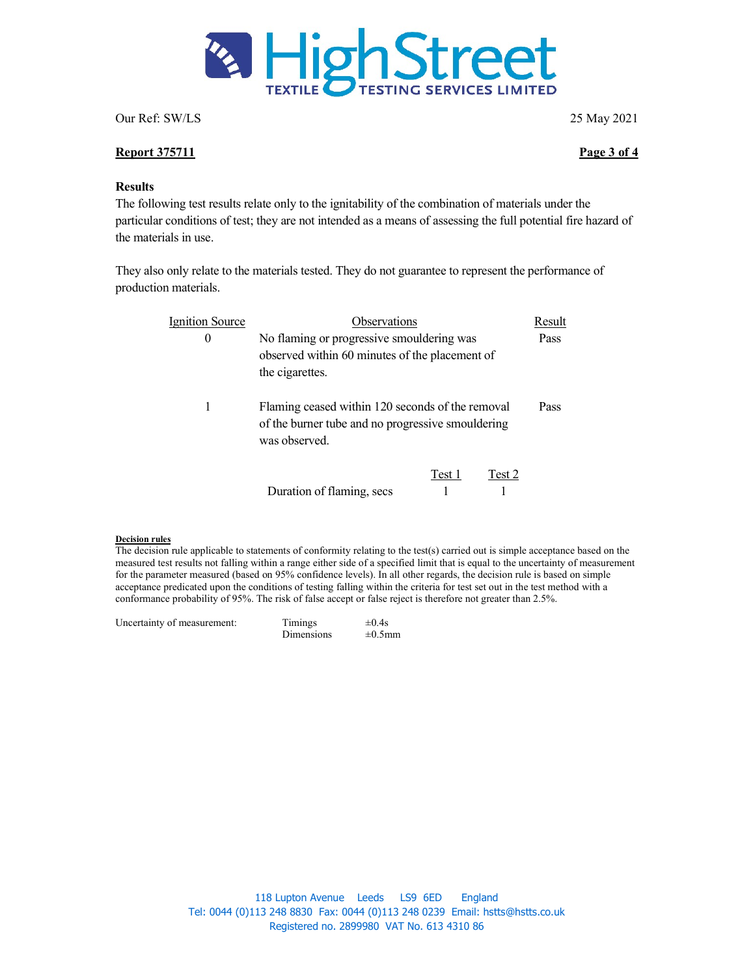

### Report 375711 Page 3 of 4

### **Results**

The following test results relate only to the ignitability of the combination of materials under the particular conditions of test; they are not intended as a means of assessing the full potential fire hazard of the materials in use.

They also only relate to the materials tested. They do not guarantee to represent the performance of production materials.

| <b>Ignition Source</b> | Observations                                                                                                           |        |        | Result |
|------------------------|------------------------------------------------------------------------------------------------------------------------|--------|--------|--------|
| $\theta$               | No flaming or progressive smouldering was<br>observed within 60 minutes of the placement of<br>the cigarettes.         |        |        | Pass   |
| 1                      | Flaming ceased within 120 seconds of the removal<br>of the burner tube and no progressive smouldering<br>was observed. |        | Pass   |        |
|                        | Duration of flaming, secs                                                                                              | Test 1 | Test 2 |        |

### Decision rules

The decision rule applicable to statements of conformity relating to the test(s) carried out is simple acceptance based on the measured test results not falling within a range either side of a specified limit that is equal to the uncertainty of measurement for the parameter measured (based on 95% confidence levels). In all other regards, the decision rule is based on simple acceptance predicated upon the conditions of testing falling within the criteria for test set out in the test method with a conformance probability of 95%. The risk of false accept or false reject is therefore not greater than 2.5%.

| Uncertainty of measurement: | Timings    | $\pm 0.4$ s  |  |
|-----------------------------|------------|--------------|--|
|                             | Dimensions | $\pm 0.5$ mm |  |